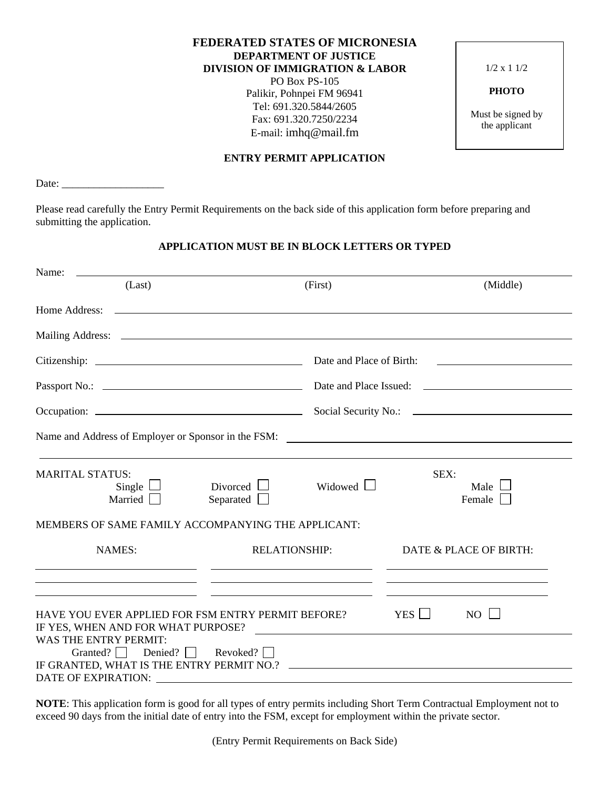# **FEDERATED STATES OF MICRONESIA DEPARTMENT OF JUSTICE DIVISION OF IMMIGRATION & LABOR** PO Box PS-105

Palikir, Pohnpei FM 96941 Tel: 691.320.5844/2605 Fax: 691.320.7250/2234 E-mail: imhq@mail.fm

**ENTRY PERMIT APPLICATION**

1/2 x 1 1/2

**PHOTO**

Must be signed by the applicant

Date: \_\_\_\_\_\_\_\_\_\_\_\_\_\_\_\_\_\_\_

Please read carefully the Entry Permit Requirements on the back side of this application form before preparing and submitting the application.

# **APPLICATION MUST BE IN BLOCK LETTERS OR TYPED**

| Name:                                                                                                                                                                                                                                                                                                                                                                                      |                                                                                                                                               |                          |                                                                                                                                                                                                                                                                |                       |
|--------------------------------------------------------------------------------------------------------------------------------------------------------------------------------------------------------------------------------------------------------------------------------------------------------------------------------------------------------------------------------------------|-----------------------------------------------------------------------------------------------------------------------------------------------|--------------------------|----------------------------------------------------------------------------------------------------------------------------------------------------------------------------------------------------------------------------------------------------------------|-----------------------|
| (Last)                                                                                                                                                                                                                                                                                                                                                                                     |                                                                                                                                               | (First)                  |                                                                                                                                                                                                                                                                | (Middle)              |
|                                                                                                                                                                                                                                                                                                                                                                                            |                                                                                                                                               |                          |                                                                                                                                                                                                                                                                |                       |
|                                                                                                                                                                                                                                                                                                                                                                                            |                                                                                                                                               |                          |                                                                                                                                                                                                                                                                |                       |
|                                                                                                                                                                                                                                                                                                                                                                                            |                                                                                                                                               | Date and Place of Birth: |                                                                                                                                                                                                                                                                |                       |
|                                                                                                                                                                                                                                                                                                                                                                                            |                                                                                                                                               |                          |                                                                                                                                                                                                                                                                |                       |
|                                                                                                                                                                                                                                                                                                                                                                                            |                                                                                                                                               |                          |                                                                                                                                                                                                                                                                |                       |
| Name and Address of Employer or Sponsor in the FSM: Name and Address of Employer or Sponsor in the FSM:                                                                                                                                                                                                                                                                                    |                                                                                                                                               |                          |                                                                                                                                                                                                                                                                |                       |
| <b>MARITAL STATUS:</b><br>Single $\Box$<br>Married                                                                                                                                                                                                                                                                                                                                         | Divorced $\Box$<br>Separated $\Box$                                                                                                           | Widowed $\Box$           | SEX:                                                                                                                                                                                                                                                           | Male $\Box$<br>Female |
| MEMBERS OF SAME FAMILY ACCOMPANYING THE APPLICANT:                                                                                                                                                                                                                                                                                                                                         |                                                                                                                                               |                          |                                                                                                                                                                                                                                                                |                       |
| <b>NAMES:</b><br>the control of the control of the control of the control of the control of the control of                                                                                                                                                                                                                                                                                 | <b>RELATIONSHIP:</b><br><u> 1989 - Andrea San Andrea Andrea Andrea Andrea Andrea Andrea Andrea Andrea Andrea Andrea Andrea Andrea Andrea </u> |                          | DATE & PLACE OF BIRTH:<br><u>state and the state of the state of the state of the state of the state of the state of the state of the state of the state of the state of the state of the state of the state of the state of the state of the state of the</u> |                       |
| <u> Alexandro Alexandro Alexandro Alexandro Alexandro Alexandro Alexandro Alexandro Alexandro Alexandro Alexandro A</u><br><u> 1989 - Johann Harry Harry Harry Harry Harry Harry Harry Harry Harry Harry Harry Harry Harry Harry Harry Harry</u><br>HAVE YOU EVER APPLIED FOR FSM ENTRY PERMIT BEFORE?<br>IF YES, WHEN AND FOR WHAT PURPOSE?<br><u> 1989 - Johann Stone, mars et al. (</u> |                                                                                                                                               |                          | YES                                                                                                                                                                                                                                                            | NO <sub>l</sub>       |
| <b>WAS THE ENTRY PERMIT:</b><br>Granted? Denied? Revoked? $\Box$                                                                                                                                                                                                                                                                                                                           |                                                                                                                                               |                          |                                                                                                                                                                                                                                                                |                       |
|                                                                                                                                                                                                                                                                                                                                                                                            |                                                                                                                                               |                          |                                                                                                                                                                                                                                                                |                       |

**NOTE**: This application form is good for all types of entry permits including Short Term Contractual Employment not to exceed 90 days from the initial date of entry into the FSM, except for employment within the private sector.